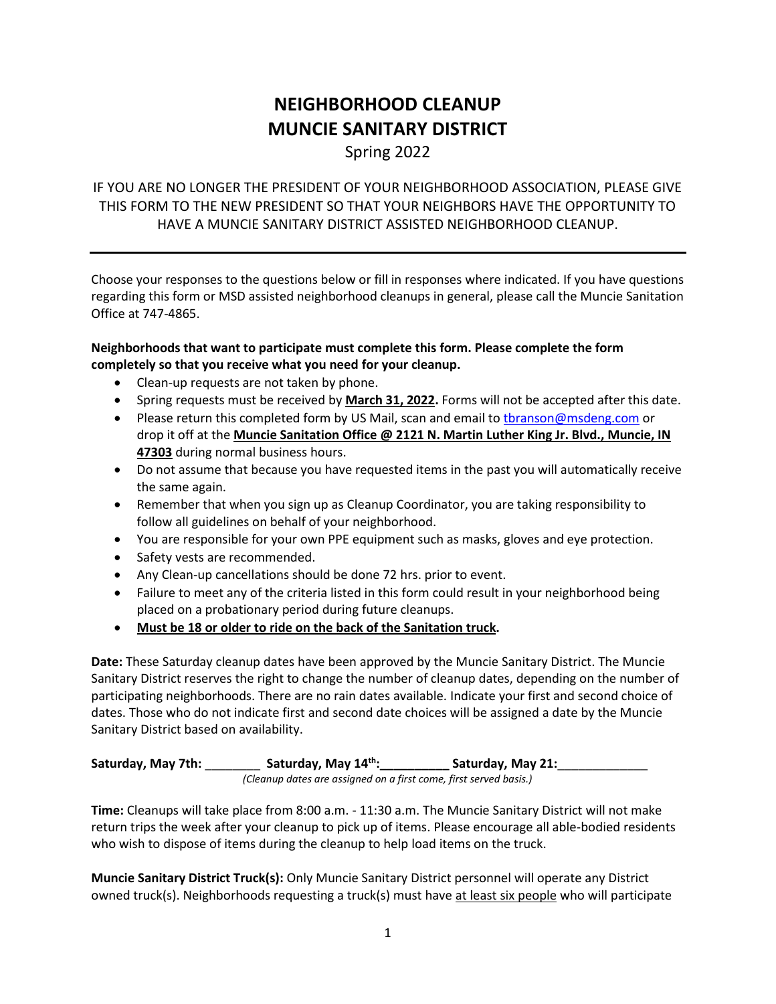# **NEIGHBORHOOD CLEANUP MUNCIE SANITARY DISTRICT**

Spring 2022

## IF YOU ARE NO LONGER THE PRESIDENT OF YOUR NEIGHBORHOOD ASSOCIATION, PLEASE GIVE THIS FORM TO THE NEW PRESIDENT SO THAT YOUR NEIGHBORS HAVE THE OPPORTUNITY TO HAVE A MUNCIE SANITARY DISTRICT ASSISTED NEIGHBORHOOD CLEANUP.

Choose your responses to the questions below or fill in responses where indicated. If you have questions regarding this form or MSD assisted neighborhood cleanups in general, please call the Muncie Sanitation Office at 747-4865.

## **Neighborhoods that want to participate must complete this form. Please complete the form completely so that you receive what you need for your cleanup.**

- Clean-up requests are not taken by phone.
- Spring requests must be received by **March 31, 2022.** Forms will not be accepted after this date.
- Please return this completed form by US Mail, scan and email to thranson@msdeng.com or drop it off at the **Muncie Sanitation Office @ 2121 N. Martin Luther King Jr. Blvd., Muncie, IN 47303** during normal business hours.
- Do not assume that because you have requested items in the past you will automatically receive the same again.
- Remember that when you sign up as Cleanup Coordinator, you are taking responsibility to follow all guidelines on behalf of your neighborhood.
- You are responsible for your own PPE equipment such as masks, gloves and eye protection.
- Safety vests are recommended.
- Any Clean-up cancellations should be done 72 hrs. prior to event.
- Failure to meet any of the criteria listed in this form could result in your neighborhood being placed on a probationary period during future cleanups.
- **Must be 18 or older to ride on the back of the Sanitation truck.**

**Date:** These Saturday cleanup dates have been approved by the Muncie Sanitary District. The Muncie Sanitary District reserves the right to change the number of cleanup dates, depending on the number of participating neighborhoods. There are no rain dates available. Indicate your first and second choice of dates. Those who do not indicate first and second date choices will be assigned a date by the Muncie Sanitary District based on availability.

**Saturday, May 7th:** \_\_\_\_\_\_\_\_ **Saturday, May 14th:\_\_\_\_\_\_\_\_\_\_ Saturday, May 21:**\_\_\_\_\_\_\_\_\_\_\_\_\_ *(Cleanup dates are assigned on a first come, first served basis.)*

**Time:** Cleanups will take place from 8:00 a.m. - 11:30 a.m. The Muncie Sanitary District will not make return trips the week after your cleanup to pick up of items. Please encourage all able-bodied residents who wish to dispose of items during the cleanup to help load items on the truck.

**Muncie Sanitary District Truck(s):** Only Muncie Sanitary District personnel will operate any District owned truck(s). Neighborhoods requesting a truck(s) must have at least six people who will participate